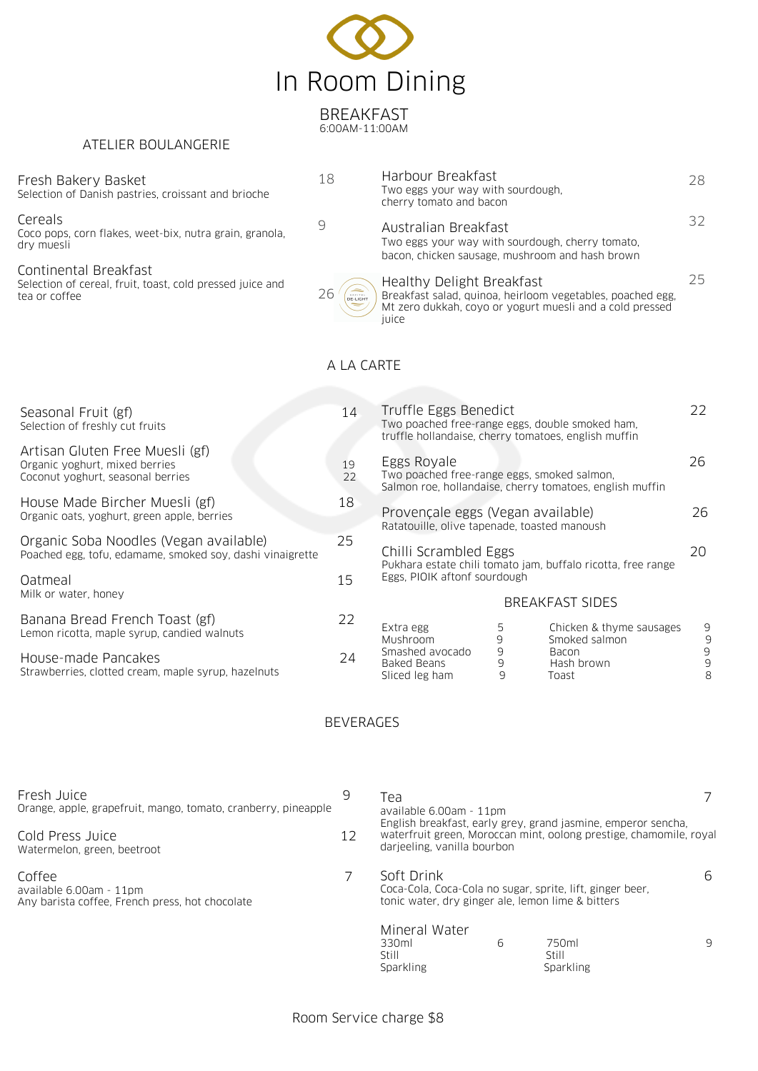

BREAKFAST 6:00AM-11:00AM

18

9

 $26/6$ 

## ATELIER BOULANGERIE

### Fresh Bakery Basket

Selection of Danish pastries, croissant and brioche

Cereals

Coco pops, corn flakes, weet-bix, nutra grain, granola, dry muesli

Continental Breakfast Selection of cereal, fruit, toast, cold pressed juice and tea or coffee

|                         | Harbour Breakfast<br>Two eggs your way with sourdough.<br>cherry tomato and bacon                                                                            |    |
|-------------------------|--------------------------------------------------------------------------------------------------------------------------------------------------------------|----|
|                         | Australian Breakfast<br>Two eggs your way with sourdough, cherry tomato.<br>bacon, chicken sausage, mushroom and hash brown                                  | 37 |
| orites<br>SL <b>IGH</b> | Healthy Delight Breakfast<br>Breakfast salad, quinoa, heirloom vegetables, poached egg,<br>Mt zero dukkah, coyo or yogurt muesli and a cold pressed<br>iuice | リト |

# A LA CARTE

|                                                                                                                                                                                         | 14 |                                                                                                                                  |             |                                                          |             |
|-----------------------------------------------------------------------------------------------------------------------------------------------------------------------------------------|----|----------------------------------------------------------------------------------------------------------------------------------|-------------|----------------------------------------------------------|-------------|
| Seasonal Fruit (gf)<br>Selection of freshly cut fruits                                                                                                                                  |    | Truffle Eggs Benedict<br>Two poached free-range eggs, double smoked ham,<br>truffle hollandaise, cherry tomatoes, english muffin |             |                                                          | 22          |
| Artisan Gluten Free Muesli (gf)<br>Organic yoghurt, mixed berries<br>Coconut yoghurt, seasonal berries<br>House Made Bircher Muesli (gf)<br>Organic oats, yoghurt, green apple, berries |    | Eggs Royale<br>Two poached free-range eggs, smoked salmon,                                                                       |             | Salmon roe, hollandaise, cherry tomatoes, english muffin | 26.         |
|                                                                                                                                                                                         |    | Provençale eggs (Vegan available)<br>Ratatouille, olive tapenade, toasted manoush                                                |             |                                                          | 26          |
| Organic Soba Noodles (Vegan available)<br>Poached egg, tofu, edamame, smoked soy, dashi vinaigrette                                                                                     |    | Chilli Scrambled Eggs<br>Pukhara estate chili tomato jam, buffalo ricotta, free range                                            |             |                                                          | 20          |
| Oatmeal                                                                                                                                                                                 |    | Eggs, PIOIK aftonf sourdough                                                                                                     |             |                                                          |             |
| Milk or water, honey                                                                                                                                                                    |    | <b>BREAKFAST SIDES</b>                                                                                                           |             |                                                          |             |
| Banana Bread French Toast (gf)<br>Lemon ricotta, maple syrup, candied walnuts                                                                                                           | 22 | Extra egg<br>Mushroom                                                                                                            | 5<br>9      | Chicken & thyme sausages<br>Smoked salmon                | 9<br>9      |
| House-made Pancakes<br>Strawberries, clotted cream, maple syrup, hazelnuts                                                                                                              | 24 | Smashed avocado<br><b>Baked Beans</b><br>Sliced leg ham                                                                          | 9<br>9<br>9 | Bacon<br>Hash brown<br>Toast                             | 9<br>9<br>8 |

# BEVERAGES

| Fresh Juice                                                                          |  | Теа                                                                                                                               |  |  |  |
|--------------------------------------------------------------------------------------|--|-----------------------------------------------------------------------------------------------------------------------------------|--|--|--|
| Orange, apple, grapefruit, mango, tomato, cranberry, pineapple                       |  | available 6.00am - 11pm                                                                                                           |  |  |  |
| Cold Press Juice                                                                     |  | English breakfast, early grey, grand jasmine, emperor sencha,                                                                     |  |  |  |
| 12                                                                                   |  | waterfruit green, Moroccan mint, oolong prestige, chamomile, royal                                                                |  |  |  |
| Watermelon, green, beetroot                                                          |  | darjeeling, vanilla bourbon                                                                                                       |  |  |  |
| Coffee<br>available 6.00am - 11pm<br>Any barista coffee, French press, hot chocolate |  | Soft Drink<br>6<br>Coca-Cola, Coca-Cola no sugar, sprite, lift, ginger beer,<br>tonic water, dry ginger ale, lemon lime & bitters |  |  |  |
|                                                                                      |  | Mineral Water<br>330ml<br>6<br>750ml<br>9<br>Still<br>Still<br>Sparkling<br>Sparkling                                             |  |  |  |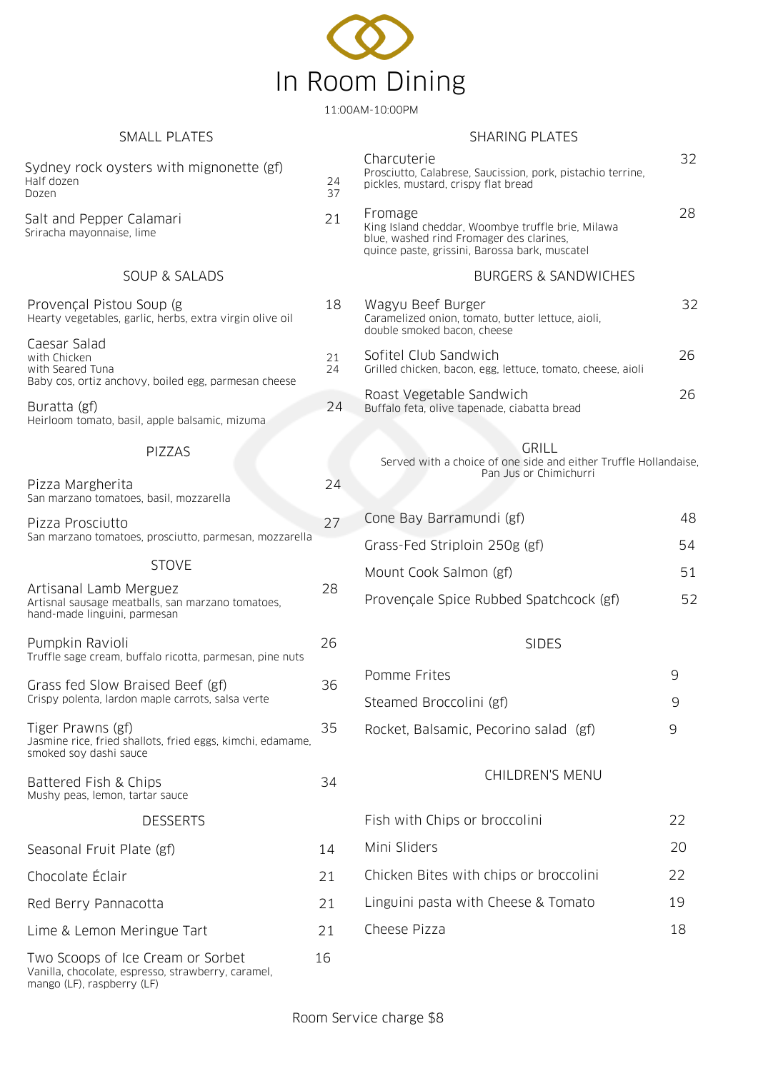

11:00AM-10:00PM

#### Sydney rock oysters with mignonette (gf) Half dozen 24 Dozen 37 Salt and Pepper Calamari 21 Sriracha mayonnaise, lime Charcuterie 32 Prosciutto, Calabrese, Saucission, pork, pistachio terrine, pickles, mustard, crispy flat bread Fromage 28 King Island cheddar, Woombye truffle brie, Milawa blue, washed rind Fromager des clarines, quince paste, grissini, Barossa bark, muscatel SOUP & SALADS Provençal Pistou Soup (g 18 Hearty vegetables, garlic, herbs, extra virgin olive oil Caesar Salad with Chicken 21<br>
with Seared Tuna with Seared Tuna Baby cos, ortiz anchovy, boiled egg, parmesan cheese Buratta (gf) 24 Heirloom tomato, basil, apple balsamic, mizuma BURGERS & SANDWICHES Wagyu Beef Burger 32 Caramelized onion, tomato, butter lettuce, aioli, double smoked bacon, cheese Sofitel Club Sandwich 26 Grilled chicken, bacon, egg, lettuce, tomato, cheese, aioli Roast Vegetable Sandwich 26 Buffalo feta, olive tapenade, ciabatta bread Pizza Margherita 24 San marzano tomatoes, basil, mozzarella Pizza Prosciutto 27 San marzano tomatoes, prosciutto, parmesan, mozzarella PIZZAS STOVE Artisanal Lamb Merguez 28 Artisnal sausage meatballs, san marzano tomatoes, hand-made linguini, parmesan Pumpkin Ravioli 26 Truffle sage cream, buffalo ricotta, parmesan, pine nuts Grass fed Slow Braised Beef (gf) 36 Crispy polenta, lardon maple carrots, salsa verte Tiger Prawns (gf) 35 Jasmine rice, fried shallots, fried eggs, kimchi, edamame, smoked soy dashi sauce Battered Fish & Chips 34 Mushy peas, lemon, tartar sauce GRILL Served with a choice of one side and either Truffle Hollandaise, Pan Jus or Chimichurri Cone Bay Barramundi (gf) 48 Grass-Fed Striploin 250g (gf) 54 Mount Cook Salmon (gf) 51 Provençale Spice Rubbed Spatchcock (gf) 52 SIDES Pomme Frites 9 Steamed Broccolini (gf) 9 Rocket, Balsamic, Pecorino salad (gf) 9 DESSERTS Seasonal Fruit Plate (gf) 14 Chocolate Éclair 21 Red Berry Pannacotta 21 Lime & Lemon Meringue Tart 21 Two Scoops of Ice Cream or Sorbet 16 Vanilla, chocolate, espresso, strawberry, caramel, mango (LF), raspberry (LF) CHILDREN'S MENU Fish with Chips or broccolini 22 Mini Sliders 20 Chicken Bites with chips or broccolini 22 Linguini pasta with Cheese & Tomato 19 Cheese Pizza 18 SMALL PLATES SHARING PLATES